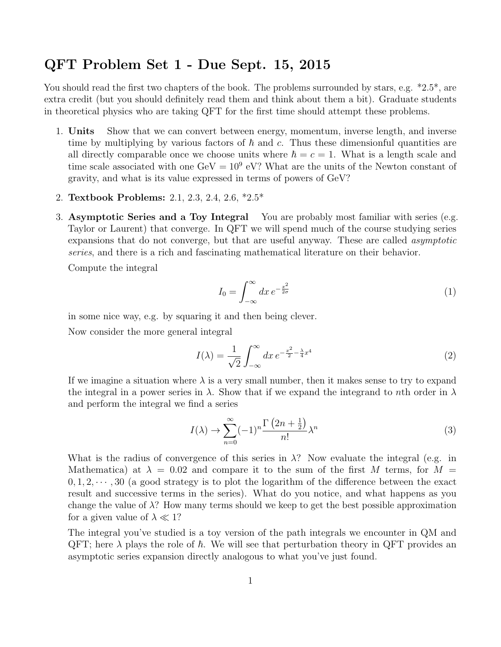## QFT Problem Set 1 - Due Sept. 15, 2015

You should read the first two chapters of the book. The problems surrounded by stars, e.g.  $*2.5^*$ , are extra credit (but you should definitely read them and think about them a bit). Graduate students in theoretical physics who are taking QFT for the first time should attempt these problems.

- 1. Units Show that we can convert between energy, momentum, inverse length, and inverse time by multiplying by various factors of  $\hbar$  and c. Thus these dimensionful quantities are all directly comparable once we choose units where  $\hbar = c = 1$ . What is a length scale and time scale associated with one  $\text{GeV} = 10^9 \text{ eV}$ ? What are the units of the Newton constant of gravity, and what is its value expressed in terms of powers of GeV?
- 2. Textbook Problems: 2.1, 2.3, 2.4, 2.6, \*2.5\*
- 3. Asymptotic Series and a Toy Integral You are probably most familiar with series (e.g. Taylor or Laurent) that converge. In QFT we will spend much of the course studying series expansions that do not converge, but that are useful anyway. These are called asymptotic series, and there is a rich and fascinating mathematical literature on their behavior.

Compute the integral

$$
I_0 = \int_{-\infty}^{\infty} dx \, e^{-\frac{x^2}{2\sigma}} \tag{1}
$$

in some nice way, e.g. by squaring it and then being clever.

Now consider the more general integral

$$
I(\lambda) = \frac{1}{\sqrt{2}} \int_{-\infty}^{\infty} dx \, e^{-\frac{x^2}{2} - \frac{\lambda}{4}x^4} \tag{2}
$$

If we imagine a situation where  $\lambda$  is a very small number, then it makes sense to try to expand the integral in a power series in  $\lambda$ . Show that if we expand the integrand to nth order in  $\lambda$ and perform the integral we find a series

$$
I(\lambda) \to \sum_{n=0}^{\infty} (-1)^n \frac{\Gamma\left(2n + \frac{1}{2}\right)}{n!} \lambda^n \tag{3}
$$

What is the radius of convergence of this series in  $\lambda$ ? Now evaluate the integral (e.g. in Mathematica) at  $\lambda = 0.02$  and compare it to the sum of the first M terms, for  $M =$  $0, 1, 2, \dots$ , 30 (a good strategy is to plot the logarithm of the difference between the exact result and successive terms in the series). What do you notice, and what happens as you change the value of  $\lambda$ ? How many terms should we keep to get the best possible approximation for a given value of  $\lambda \ll 1$ ?

The integral you've studied is a toy version of the path integrals we encounter in QM and QFT; here  $\lambda$  plays the role of  $\hbar$ . We will see that perturbation theory in QFT provides an asymptotic series expansion directly analogous to what you've just found.